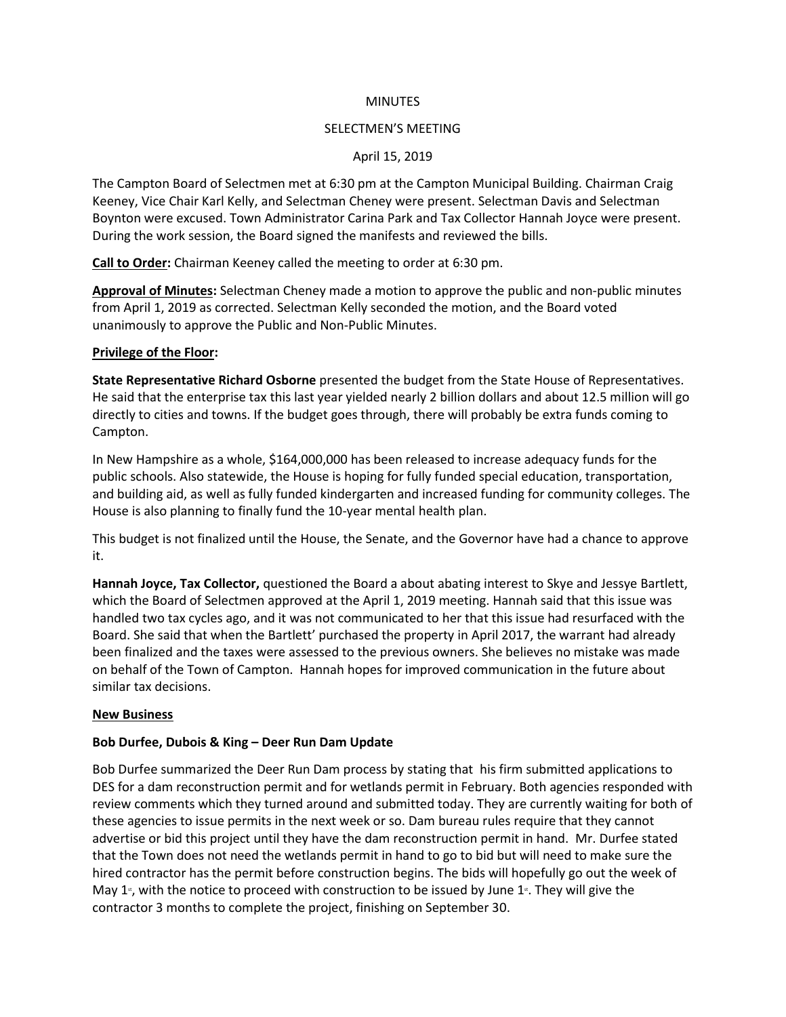### **MINUTES**

#### SELECTMEN'S MEETING

### April 15, 2019

The Campton Board of Selectmen met at 6:30 pm at the Campton Municipal Building. Chairman Craig Keeney, Vice Chair Karl Kelly, and Selectman Cheney were present. Selectman Davis and Selectman Boynton were excused. Town Administrator Carina Park and Tax Collector Hannah Joyce were present. During the work session, the Board signed the manifests and reviewed the bills.

**Call to Order:** Chairman Keeney called the meeting to order at 6:30 pm.

**Approval of Minutes:** Selectman Cheney made a motion to approve the public and non-public minutes from April 1, 2019 as corrected. Selectman Kelly seconded the motion, and the Board voted unanimously to approve the Public and Non-Public Minutes.

### **Privilege of the Floor:**

**State Representative Richard Osborne** presented the budget from the State House of Representatives. He said that the enterprise tax this last year yielded nearly 2 billion dollars and about 12.5 million will go directly to cities and towns. If the budget goes through, there will probably be extra funds coming to Campton.

In New Hampshire as a whole, \$164,000,000 has been released to increase adequacy funds for the public schools. Also statewide, the House is hoping for fully funded special education, transportation, and building aid, as well as fully funded kindergarten and increased funding for community colleges. The House is also planning to finally fund the 10-year mental health plan.

This budget is not finalized until the House, the Senate, and the Governor have had a chance to approve it.

**Hannah Joyce, Tax Collector,** questioned the Board a about abating interest to Skye and Jessye Bartlett, which the Board of Selectmen approved at the April 1, 2019 meeting. Hannah said that this issue was handled two tax cycles ago, and it was not communicated to her that this issue had resurfaced with the Board. She said that when the Bartlett' purchased the property in April 2017, the warrant had already been finalized and the taxes were assessed to the previous owners. She believes no mistake was made on behalf of the Town of Campton. Hannah hopes for improved communication in the future about similar tax decisions.

### **New Business**

### **Bob Durfee, Dubois & King – Deer Run Dam Update**

Bob Durfee summarized the Deer Run Dam process by stating that his firm submitted applications to DES for a dam reconstruction permit and for wetlands permit in February. Both agencies responded with review comments which they turned around and submitted today. They are currently waiting for both of these agencies to issue permits in the next week or so. Dam bureau rules require that they cannot advertise or bid this project until they have the dam reconstruction permit in hand. Mr. Durfee stated that the Town does not need the wetlands permit in hand to go to bid but will need to make sure the hired contractor has the permit before construction begins. The bids will hopefully go out the week of May  $1$ <sup>s</sup>, with the notice to proceed with construction to be issued by June  $1$ <sup>s</sup>. They will give the contractor 3 months to complete the project, finishing on September 30.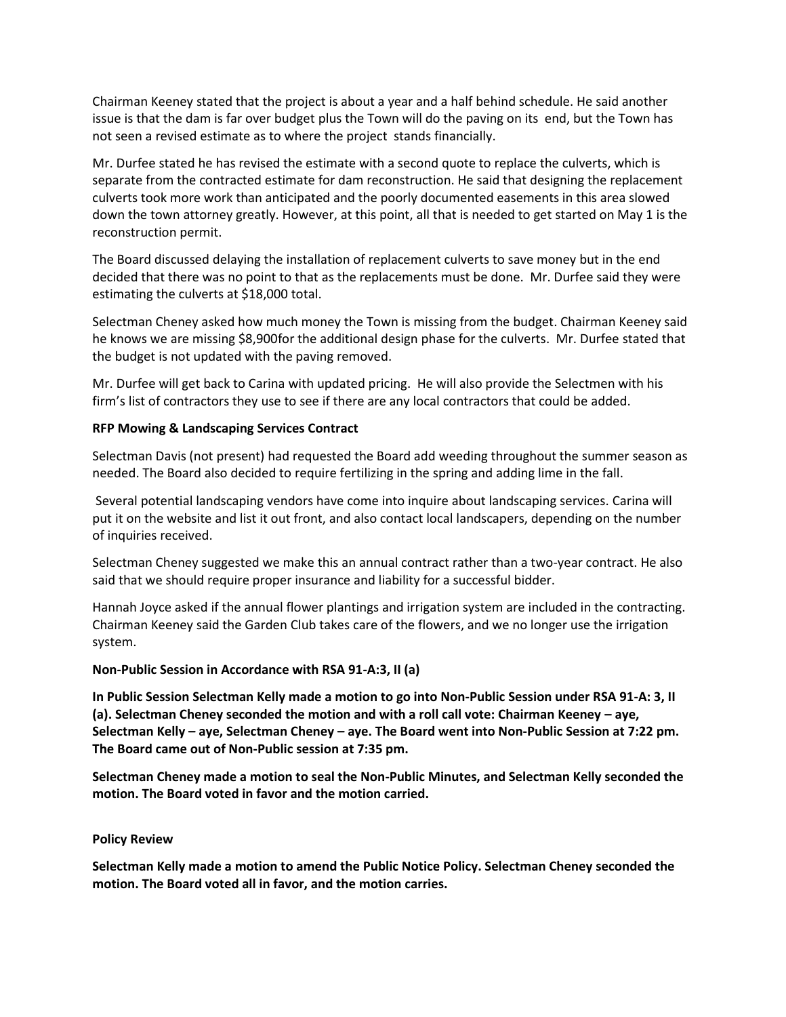Chairman Keeney stated that the project is about a year and a half behind schedule. He said another issue is that the dam is far over budget plus the Town will do the paving on its end, but the Town has not seen a revised estimate as to where the project stands financially.

Mr. Durfee stated he has revised the estimate with a second quote to replace the culverts, which is separate from the contracted estimate for dam reconstruction. He said that designing the replacement culverts took more work than anticipated and the poorly documented easements in this area slowed down the town attorney greatly. However, at this point, all that is needed to get started on May 1 is the reconstruction permit.

The Board discussed delaying the installation of replacement culverts to save money but in the end decided that there was no point to that as the replacements must be done. Mr. Durfee said they were estimating the culverts at \$18,000 total.

Selectman Cheney asked how much money the Town is missing from the budget. Chairman Keeney said he knows we are missing \$8,900for the additional design phase for the culverts. Mr. Durfee stated that the budget is not updated with the paving removed.

Mr. Durfee will get back to Carina with updated pricing. He will also provide the Selectmen with his firm's list of contractors they use to see if there are any local contractors that could be added.

# **RFP Mowing & Landscaping Services Contract**

Selectman Davis (not present) had requested the Board add weeding throughout the summer season as needed. The Board also decided to require fertilizing in the spring and adding lime in the fall.

Several potential landscaping vendors have come into inquire about landscaping services. Carina will put it on the website and list it out front, and also contact local landscapers, depending on the number of inquiries received.

Selectman Cheney suggested we make this an annual contract rather than a two-year contract. He also said that we should require proper insurance and liability for a successful bidder.

Hannah Joyce asked if the annual flower plantings and irrigation system are included in the contracting. Chairman Keeney said the Garden Club takes care of the flowers, and we no longer use the irrigation system.

### **Non-Public Session in Accordance with RSA 91-A:3, II (a)**

**In Public Session Selectman Kelly made a motion to go into Non-Public Session under RSA 91-A: 3, II (a). Selectman Cheney seconded the motion and with a roll call vote: Chairman Keeney – aye, Selectman Kelly – aye, Selectman Cheney – aye. The Board went into Non-Public Session at 7:22 pm. The Board came out of Non-Public session at 7:35 pm.** 

**Selectman Cheney made a motion to seal the Non-Public Minutes, and Selectman Kelly seconded the motion. The Board voted in favor and the motion carried.**

### **Policy Review**

**Selectman Kelly made a motion to amend the Public Notice Policy. Selectman Cheney seconded the motion. The Board voted all in favor, and the motion carries.**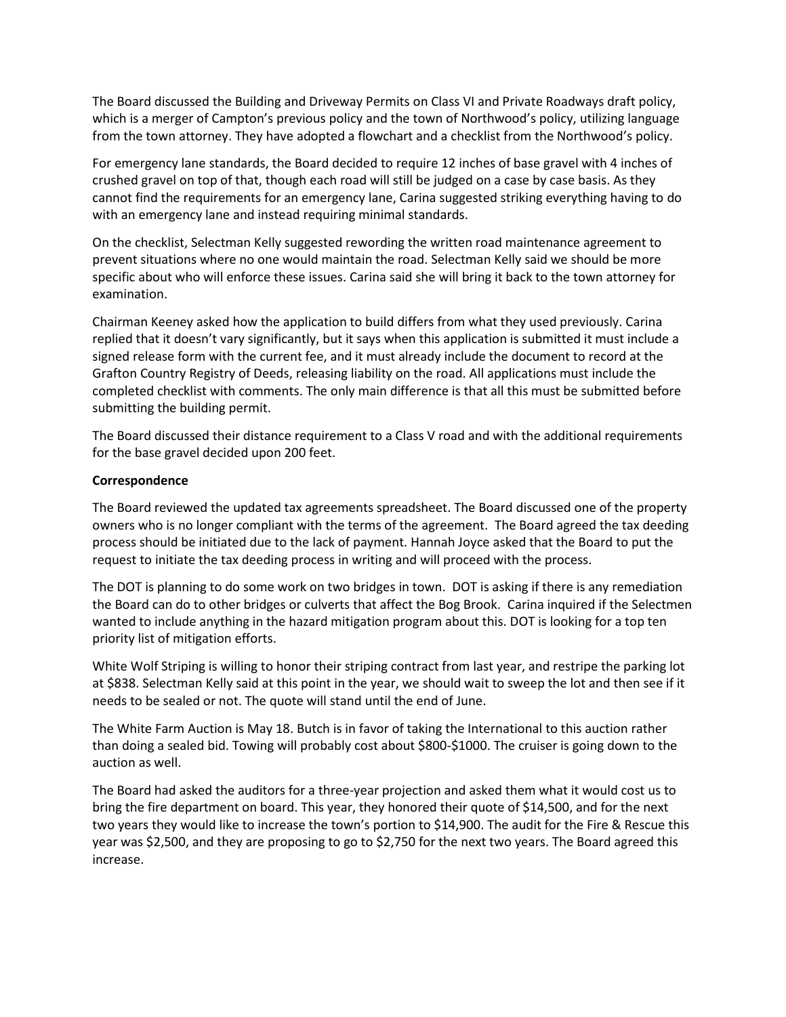The Board discussed the Building and Driveway Permits on Class VI and Private Roadways draft policy, which is a merger of Campton's previous policy and the town of Northwood's policy, utilizing language from the town attorney. They have adopted a flowchart and a checklist from the Northwood's policy.

For emergency lane standards, the Board decided to require 12 inches of base gravel with 4 inches of crushed gravel on top of that, though each road will still be judged on a case by case basis. As they cannot find the requirements for an emergency lane, Carina suggested striking everything having to do with an emergency lane and instead requiring minimal standards.

On the checklist, Selectman Kelly suggested rewording the written road maintenance agreement to prevent situations where no one would maintain the road. Selectman Kelly said we should be more specific about who will enforce these issues. Carina said she will bring it back to the town attorney for examination.

Chairman Keeney asked how the application to build differs from what they used previously. Carina replied that it doesn't vary significantly, but it says when this application is submitted it must include a signed release form with the current fee, and it must already include the document to record at the Grafton Country Registry of Deeds, releasing liability on the road. All applications must include the completed checklist with comments. The only main difference is that all this must be submitted before submitting the building permit.

The Board discussed their distance requirement to a Class V road and with the additional requirements for the base gravel decided upon 200 feet.

# **Correspondence**

The Board reviewed the updated tax agreements spreadsheet. The Board discussed one of the property owners who is no longer compliant with the terms of the agreement. The Board agreed the tax deeding process should be initiated due to the lack of payment. Hannah Joyce asked that the Board to put the request to initiate the tax deeding process in writing and will proceed with the process.

The DOT is planning to do some work on two bridges in town. DOT is asking if there is any remediation the Board can do to other bridges or culverts that affect the Bog Brook. Carina inquired if the Selectmen wanted to include anything in the hazard mitigation program about this. DOT is looking for a top ten priority list of mitigation efforts.

White Wolf Striping is willing to honor their striping contract from last year, and restripe the parking lot at \$838. Selectman Kelly said at this point in the year, we should wait to sweep the lot and then see if it needs to be sealed or not. The quote will stand until the end of June.

The White Farm Auction is May 18. Butch is in favor of taking the International to this auction rather than doing a sealed bid. Towing will probably cost about \$800-\$1000. The cruiser is going down to the auction as well.

The Board had asked the auditors for a three-year projection and asked them what it would cost us to bring the fire department on board. This year, they honored their quote of \$14,500, and for the next two years they would like to increase the town's portion to \$14,900. The audit for the Fire & Rescue this year was \$2,500, and they are proposing to go to \$2,750 for the next two years. The Board agreed this increase.